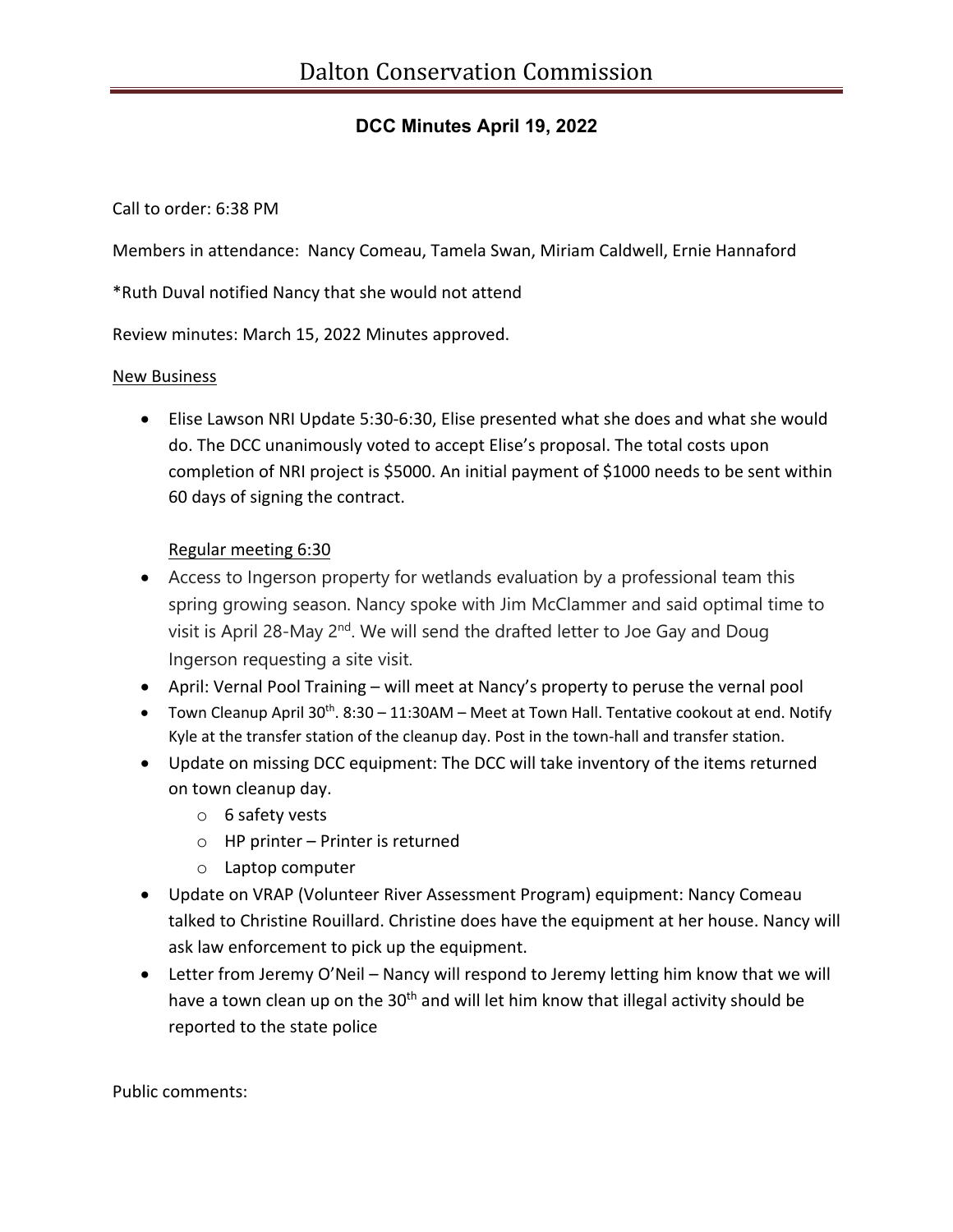## **DCC Minutes April 19, 2022**

Call to order: 6:38 PM

Members in attendance: Nancy Comeau, Tamela Swan, Miriam Caldwell, Ernie Hannaford

\*Ruth Duval notified Nancy that she would not attend

Review minutes: March 15, 2022 Minutes approved.

## New Business

• Elise Lawson NRI Update 5:30-6:30, Elise presented what she does and what she would do. The DCC unanimously voted to accept Elise's proposal. The total costs upon completion of NRI project is \$5000. An initial payment of \$1000 needs to be sent within 60 days of signing the contract.

## Regular meeting 6:30

- Access to Ingerson property for wetlands evaluation by a professional team this spring growing season. Nancy spoke with Jim McClammer and said optimal time to visit is April 28-May  $2^{nd}$ . We will send the drafted letter to Joe Gay and Doug Ingerson requesting a site visit.
- April: Vernal Pool Training will meet at Nancy's property to peruse the vernal pool
- Town Cleanup April  $30^{th}$ . 8:30 11:30AM Meet at Town Hall. Tentative cookout at end. Notify Kyle at the transfer station of the cleanup day. Post in the town-hall and transfer station.
- Update on missing DCC equipment: The DCC will take inventory of the items returned on town cleanup day.
	- o 6 safety vests
	- o HP printer Printer is returned
	- o Laptop computer
- Update on VRAP (Volunteer River Assessment Program) equipment: Nancy Comeau talked to Christine Rouillard. Christine does have the equipment at her house. Nancy will ask law enforcement to pick up the equipment.
- Letter from Jeremy O'Neil Nancy will respond to Jeremy letting him know that we will have a town clean up on the 30<sup>th</sup> and will let him know that illegal activity should be reported to the state police

Public comments: